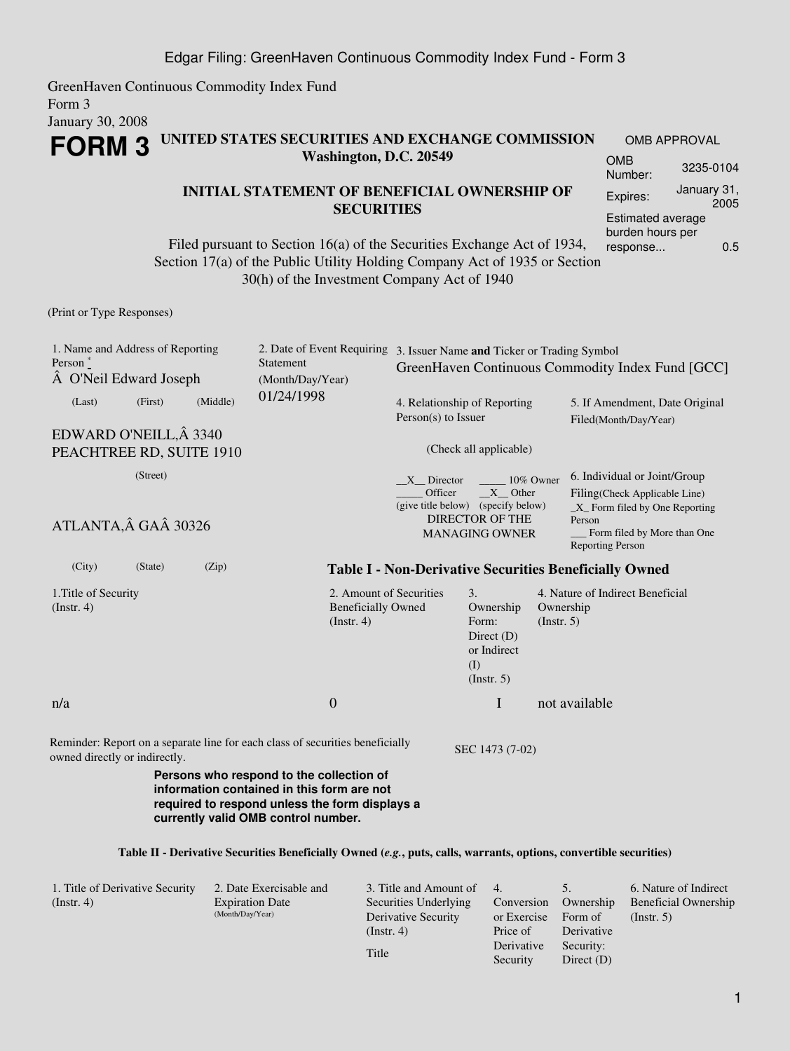GreenHaven Continuous Commodity Index Fund Form 3 January 30, 2008

## **FORM 3 UNITED STATES SECURITIES AND EXCHANGE COMMISSION Washington, D.C. 20549**

## **INITIAL STATEMENT OF BENEFICIAL OWNERSHIP OF SECURITIES**

Filed pursuant to Section 16(a) of the Securities Exchange Act of 1934, Section 17(a) of the Public Utility Holding Company Act of 1935 or Section 30(h) of the Investment Company Act of 1940

OMB APPROVAL OMB Number: 3235-0104 Expires: January 31, 2005 Estimated average burden hours per response... 0.5

(Print or Type Responses)

| 1. Name and Address of Reporting<br>Person $*$<br>A O'Neil Edward Joseph |         |          | Statement<br>(Month/Day/Year)                                                                                                                                                   |                                                      | 2. Date of Event Requiring 3. Issuer Name and Ticker or Trading Symbol<br>GreenHaven Continuous Commodity Index Fund [GCC] |                                                                                                                                                                      |                                                         |  |  |
|--------------------------------------------------------------------------|---------|----------|---------------------------------------------------------------------------------------------------------------------------------------------------------------------------------|------------------------------------------------------|----------------------------------------------------------------------------------------------------------------------------|----------------------------------------------------------------------------------------------------------------------------------------------------------------------|---------------------------------------------------------|--|--|
| (Last)                                                                   | (First) | (Middle) | 01/24/1998                                                                                                                                                                      | Person(s) to Issuer                                  | 4. Relationship of Reporting                                                                                               |                                                                                                                                                                      | 5. If Amendment, Date Original<br>Filed(Month/Day/Year) |  |  |
| EDWARD O'NEILL, Â 3340<br>PEACHTREE RD, SUITE 1910                       |         |          |                                                                                                                                                                                 |                                                      | (Check all applicable)                                                                                                     |                                                                                                                                                                      |                                                         |  |  |
| (Street)<br>ATLANTA, GA 30326                                            |         |          |                                                                                                                                                                                 | X Director<br>Officer                                | 10% Owner<br>X Other<br>(give title below) (specify below)<br><b>DIRECTOR OF THE</b><br><b>MANAGING OWNER</b>              | 6. Individual or Joint/Group<br>Filing(Check Applicable Line)<br>$X$ Form filed by One Reporting<br>Person<br>Form filed by More than One<br><b>Reporting Person</b> |                                                         |  |  |
| (City)                                                                   | (State) | (Zip)    | <b>Table I - Non-Derivative Securities Beneficially Owned</b>                                                                                                                   |                                                      |                                                                                                                            |                                                                                                                                                                      |                                                         |  |  |
| 1. Title of Security<br>(Instr. 4)                                       |         |          | $($ Instr. 4 $)$                                                                                                                                                                | 2. Amount of Securities<br><b>Beneficially Owned</b> | 3.<br>Ownership<br>Form:<br>Direct $(D)$<br>or Indirect<br>(I)<br>(Insert. 5)                                              | Ownership<br>(Insert. 5)                                                                                                                                             | 4. Nature of Indirect Beneficial                        |  |  |
| n/a                                                                      |         |          | $\mathbf{0}$                                                                                                                                                                    |                                                      | I                                                                                                                          |                                                                                                                                                                      | not available                                           |  |  |
| owned directly or indirectly.                                            |         |          | Reminder: Report on a separate line for each class of securities beneficially                                                                                                   |                                                      | SEC 1473 (7-02)                                                                                                            |                                                                                                                                                                      |                                                         |  |  |
|                                                                          |         |          | Persons who respond to the collection of<br>information contained in this form are not<br>required to respond unless the form displays a<br>currently valid OMB control number. |                                                      |                                                                                                                            |                                                                                                                                                                      |                                                         |  |  |
|                                                                          |         |          | Table II - Derivative Securities Beneficially Owned (e.g., puts, calls, warrants, options, convertible securities)                                                              |                                                      |                                                                                                                            |                                                                                                                                                                      |                                                         |  |  |

| 1. Title of Derivative Security | 2. Date Exercisable and | 3. Title and Amount of | 4.          |              | 6. Nature of Indirect       |
|---------------------------------|-------------------------|------------------------|-------------|--------------|-----------------------------|
| (Insert. 4)                     | <b>Expiration Date</b>  | Securities Underlying  | Conversion  | Ownership    | <b>Beneficial Ownership</b> |
|                                 | (Month/Day/Year)        | Derivative Security    | or Exercise | Form of      | $($ Instr. 5 $)$            |
|                                 |                         | (Instr. 4)             | Price of    | Derivative   |                             |
|                                 |                         |                        | Derivative  | Security:    |                             |
|                                 |                         | Title                  | Security    | Direct $(D)$ |                             |